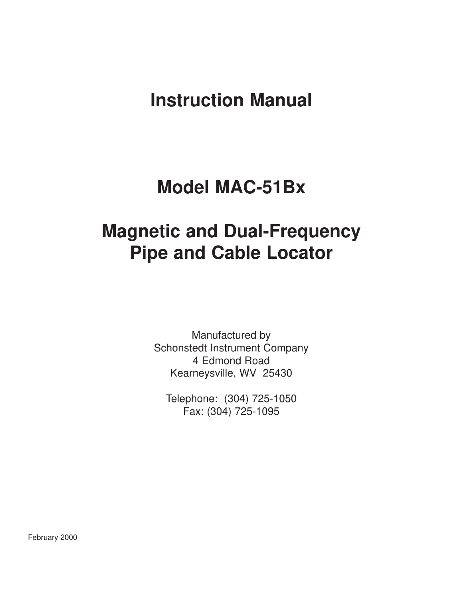## **Instruction Manual**

## **Model MAC-51Bx**

# **Magnetic and Dual-Frequency Pipe and Cable Locator**

Manufactured by Schonstedt Instrument Company 4 Edmond Road Kearneysville, WV 25430

Telephone: (304) 725-1050 Fax: (304) 725-1095

February 2000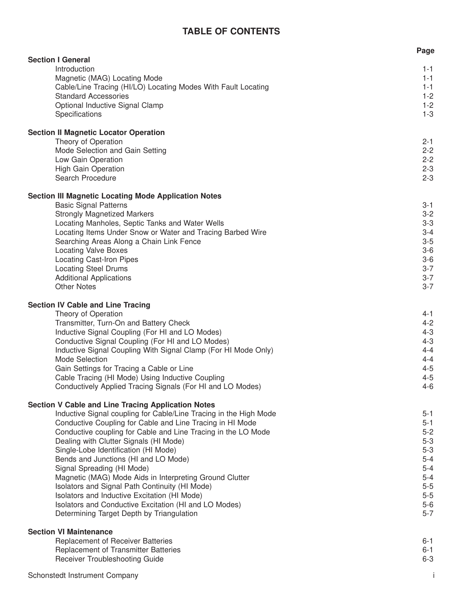## **TABLE OF CONTENTS**

|                                                                                                         | Page               |
|---------------------------------------------------------------------------------------------------------|--------------------|
| <b>Section I General</b><br>Introduction                                                                | $1 - 1$            |
| Magnetic (MAG) Locating Mode                                                                            | $1 - 1$            |
| Cable/Line Tracing (HI/LO) Locating Modes With Fault Locating                                           | $1 - 1$            |
| <b>Standard Accessories</b>                                                                             | $1 - 2$            |
| Optional Inductive Signal Clamp                                                                         | $1 - 2$            |
| Specifications                                                                                          | $1 - 3$            |
|                                                                                                         |                    |
| <b>Section II Magnetic Locator Operation</b>                                                            |                    |
| Theory of Operation                                                                                     | $2 - 1$            |
| Mode Selection and Gain Setting                                                                         | $2 - 2$            |
| Low Gain Operation                                                                                      | $2 - 2$            |
| High Gain Operation<br>Search Procedure                                                                 | $2 - 3$<br>$2 - 3$ |
|                                                                                                         |                    |
| <b>Section III Magnetic Locating Mode Application Notes</b>                                             |                    |
| <b>Basic Signal Patterns</b>                                                                            | $3 - 1$            |
| <b>Strongly Magnetized Markers</b>                                                                      | $3 - 2$            |
| Locating Manholes, Septic Tanks and Water Wells                                                         | $3-3$              |
| Locating Items Under Snow or Water and Tracing Barbed Wire                                              | $3 - 4$            |
| Searching Areas Along a Chain Link Fence                                                                | $3-5$              |
| <b>Locating Valve Boxes</b>                                                                             | $3-6$              |
| <b>Locating Cast-Iron Pipes</b>                                                                         | $3-6$<br>$3 - 7$   |
| <b>Locating Steel Drums</b><br><b>Additional Applications</b>                                           | $3 - 7$            |
| <b>Other Notes</b>                                                                                      | $3 - 7$            |
|                                                                                                         |                    |
| <b>Section IV Cable and Line Tracing</b>                                                                |                    |
| Theory of Operation                                                                                     | 4-1                |
| Transmitter, Turn-On and Battery Check                                                                  | $4 - 2$            |
| Inductive Signal Coupling (For HI and LO Modes)                                                         | $4 - 3$            |
| Conductive Signal Coupling (For HI and LO Modes)                                                        | $4 - 3$<br>$4 - 4$ |
| Inductive Signal Coupling With Signal Clamp (For HI Mode Only)<br>Mode Selection                        | $4 - 4$            |
| Gain Settings for Tracing a Cable or Line                                                               | $4 - 5$            |
| Cable Tracing (HI Mode) Using Inductive Coupling                                                        | $4 - 5$            |
| Conductively Applied Tracing Signals (For HI and LO Modes)                                              | $4 - 6$            |
|                                                                                                         |                    |
| <b>Section V Cable and Line Tracing Application Notes</b>                                               |                    |
| Inductive Signal coupling for Cable/Line Tracing in the High Mode                                       | $5 - 1$            |
| Conductive Coupling for Cable and Line Tracing in HI Mode                                               | $5 - 1$            |
| Conductive coupling for Cable and Line Tracing in the LO Mode<br>Dealing with Clutter Signals (HI Mode) | $5-2$<br>$5-3$     |
| Single-Lobe Identification (HI Mode)                                                                    | $5-3$              |
| Bends and Junctions (HI and LO Mode)                                                                    | $5-4$              |
| Signal Spreading (HI Mode)                                                                              | $5-4$              |
| Magnetic (MAG) Mode Aids in Interpreting Ground Clutter                                                 | $5-4$              |
| Isolators and Signal Path Continuity (HI Mode)                                                          | $5-5$              |
| Isolators and Inductive Excitation (HI Mode)                                                            | $5-5$              |
| Isolators and Conductive Excitation (HI and LO Modes)                                                   | $5-6$              |
| Determining Target Depth by Triangulation                                                               | $5 - 7$            |
|                                                                                                         |                    |
| <b>Section VI Maintenance</b><br>Replacement of Receiver Batteries                                      | 6-1                |
| Replacement of Transmitter Batteries                                                                    | $6 - 1$            |
| Receiver Troubleshooting Guide                                                                          | $6 - 3$            |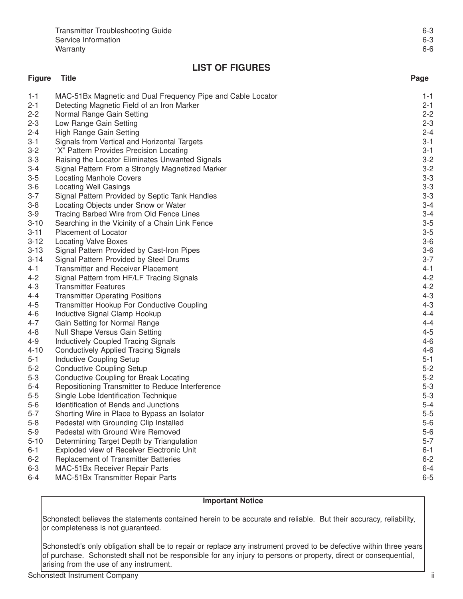| <b>Transmitter Troubleshooting Guide</b> | 6-3 |
|------------------------------------------|-----|
| Service Information                      | 6-3 |
| Warranty                                 | 6-6 |

## **LIST OF FIGURES**

#### **Figure Title Page** 1-1 MAC-51Bx Magnetic and Dual Frequency Pipe and Cable Locator 1-1 2-1 Detecting Magnetic Field of an Iron Marker 2-2 Normal Range Gain Setting 2-2 2-3 Low Range Gain Setting 2-3 2-4 High Range Gain Setting 2-4 All the state of the state of the state of the state of the state of the state of the state of the state of the state of the state of the state of the state of the state of the state of the 3-1 Signals from Vertical and Horizontal Targets 3-1 3-2 "X" Pattern Provides Precision Locating 3-1 3-3 Raising the Locator Eliminates Unwanted Signals 3-2 3-4 Signal Pattern From a Strongly Magnetized Marker 3-2 3-5 Locating Manhole Covers 3-3 3-6 Locating Well Casings 3-3 3-7 Signal Pattern Provided by Septic Tank Handles 3-3 3-8 Locating Objects under Snow or Water 3-4 Second 1997 Second 1997 Second 1997 Second 1997 Second 1997 3-4 3-9 Tracing Barbed Wire from Old Fence Lines 3-4 3-10 Searching in the Vicinity of a Chain Link Fence 3-5  $\frac{3-5}{3}$ 3-11 Placement of Locator 3-5 3-12 Locating Valve Boxes 3-6 3-13 Signal Pattern Provided by Cast-Iron Pipes 3-6 3-14 Signal Pattern Provided by Steel Drums 3-7 4-1 Transmitter and Receiver Placement 4-1 4-2 Signal Pattern from HF/LF Tracing Signals 4-2 **Transmitter Features** 4-4 Transmitter Operating Positions (4-3) 1999 - 1999 - 1999 - 1999 - 1999 - 1999 - 1999 - 1999 - 1999 - 1999<br>1999 - Transmitter Hookup For Conductive Coupling (1999) - 1999 - 1999 - 1999 - 1999 - 1999 - 1999 - 1999 - 1 4-5 Transmitter Hookup For Conductive Coupling 4-3 4-6 Inductive Signal Clamp Hookup 4-4 And the state of the state of the state of the state of the 4-4 And 4-4<br>4-7 Gain Setting for Normal Range Gain Setting for Normal Range 4-4 And the state of the state and the state and the state and the state and the state  $4-4$ 4-8 Null Shape Versus Gain Setting 4-5 4-9 Inductively Coupled Tracing Signals 4-6 4-10 Conductively Applied Tracing Signals 4-6 5-1 Inductive Coupling Setup 5-1 And the state of the state of the state of the state of the state of the state of the state of the state of the state of the state of the state of the state of the state of the state of the 5-2 Conductive Coupling Setup 6-1 Conductive Coupling Setup 5-2 5-3 Conductive Coupling for Break Locating 5-2<br>5-4 Repositioning Transmitter to Reduce Interference 5-3 Repositioning Transmitter to Reduce Interference 5-5 Single Lobe Identification Technique 5-3 5-6 Identification of Bends and Junctions 5-4 5-7 Shorting Wire in Place to Bypass an Isolator 5-5 Services and Superintendent states and Superintendent states in the S-5 5-8 Pedestal with Grounding Clip Installed 5-6 September 2014 10:30 September 2014 15:48 5-9 Pedestal with Ground Wire Removed 5-6 5-10 Determining Target Depth by Triangulation 5-7 (5) and the state of the state of the state of the state of the state of the state of the state of the state of the state of the state of the state of the state of the sta 6-1 Exploded view of Receiver Electronic Unit 6-1 6-2 Replacement of Transmitter Batteries 6-2 6-3 MAC-51Bx Receiver Repair Parts 6-4 6-4 MAC-51Bx Transmitter Repair Parts 6-5

#### **Important Notice**

Schonstedt believes the statements contained herein to be accurate and reliable. But their accuracy, reliability, or completeness is not guaranteed.

Schonstedt's only obligation shall be to repair or replace any instrument proved to be defective within three years of purchase. Schonstedt shall not be responsible for any injury to persons or property, direct or consequential, arising from the use of any instrument.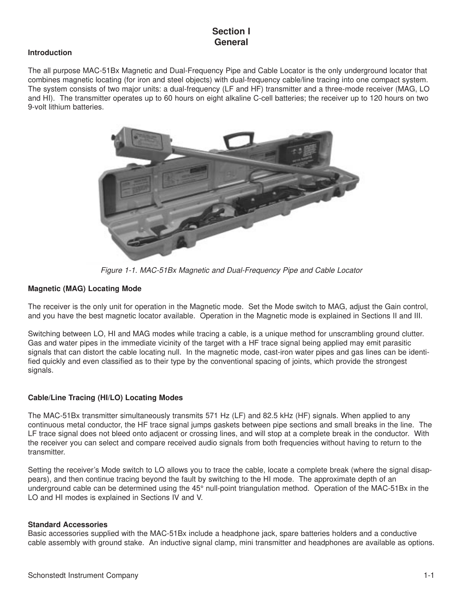## **Section I General**

#### **Introduction**

The all purpose MAC-51Bx Magnetic and Dual-Frequency Pipe and Cable Locator is the only underground locator that combines magnetic locating (for iron and steel objects) with dual-frequency cable/line tracing into one compact system. The system consists of two major units: a dual-frequency (LF and HF) transmitter and a three-mode receiver (MAG, LO and HI). The transmitter operates up to 60 hours on eight alkaline C-cell batteries; the receiver up to 120 hours on two 9-volt lithium batteries.



Figure 1-1. MAC-51Bx Magnetic and Dual-Frequency Pipe and Cable Locator

#### **Magnetic (MAG) Locating Mode**

The receiver is the only unit for operation in the Magnetic mode. Set the Mode switch to MAG, adjust the Gain control, and you have the best magnetic locator available. Operation in the Magnetic mode is explained in Sections II and III.

Switching between LO, HI and MAG modes while tracing a cable, is a unique method for unscrambling ground clutter. Gas and water pipes in the immediate vicinity of the target with a HF trace signal being applied may emit parasitic signals that can distort the cable locating null. In the magnetic mode, cast-iron water pipes and gas lines can be identified quickly and even classified as to their type by the conventional spacing of joints, which provide the strongest signals.

#### **Cable/Line Tracing (HI/LO) Locating Modes**

The MAC-51Bx transmitter simultaneously transmits 571 Hz (LF) and 82.5 kHz (HF) signals. When applied to any continuous metal conductor, the HF trace signal jumps gaskets between pipe sections and small breaks in the line. The LF trace signal does not bleed onto adjacent or crossing lines, and will stop at a complete break in the conductor. With the receiver you can select and compare received audio signals from both frequencies without having to return to the transmitter.

Setting the receiver's Mode switch to LO allows you to trace the cable, locate a complete break (where the signal disappears), and then continue tracing beyond the fault by switching to the HI mode. The approximate depth of an underground cable can be determined using the 45° null-point triangulation method. Operation of the MAC-51Bx in the LO and HI modes is explained in Sections IV and V.

#### **Standard Accessories**

Basic accessories supplied with the MAC-51Bx include a headphone jack, spare batteries holders and a conductive cable assembly with ground stake. An inductive signal clamp, mini transmitter and headphones are available as options.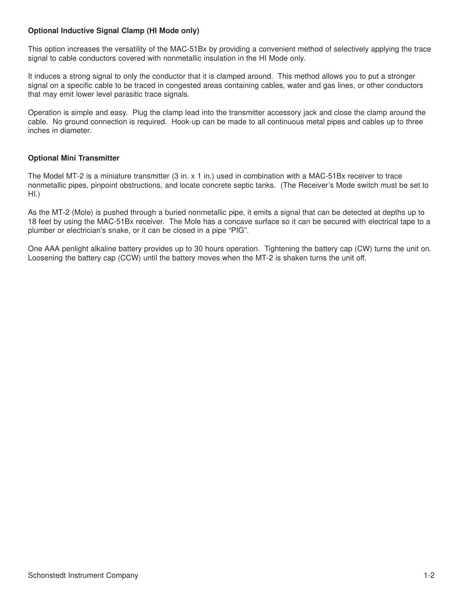#### **Optional Inductive Signal Clamp (HI Mode only)**

This option increases the versatility of the MAC-51Bx by providing a convenient method of selectively applying the trace signal to cable conductors covered with nonmetallic insulation in the HI Mode only.

It induces a strong signal to only the conductor that it is clamped around. This method allows you to put a stronger signal on a specific cable to be traced in congested areas containing cables, water and gas lines, or other conductors that may emit lower level parasitic trace signals.

Operation is simple and easy. Plug the clamp lead into the transmitter accessory jack and close the clamp around the cable. No ground connection is required. Hook-up can be made to all continuous metal pipes and cables up to three inches in diameter.

#### **Optional Mini Transmitter**

The Model MT-2 is a miniature transmitter (3 in. x 1 in.) used in combination with a MAC-51Bx receiver to trace nonmetallic pipes, pinpoint obstructions, and locate concrete septic tanks. (The Receiver's Mode switch must be set to HI.)

As the MT-2 (Mole) is pushed through a buried nonmetallic pipe, it emits a signal that can be detected at depths up to 18 feet by using the MAC-51Bx receiver. The Mole has a concave surface so it can be secured with electrical tape to a plumber or electrician's snake, or it can be closed in a pipe "PIG".

One AAA penlight alkaline battery provides up to 30 hours operation. Tightening the battery cap (CW) turns the unit on. Loosening the battery cap (CCW) until the battery moves when the MT-2 is shaken turns the unit off.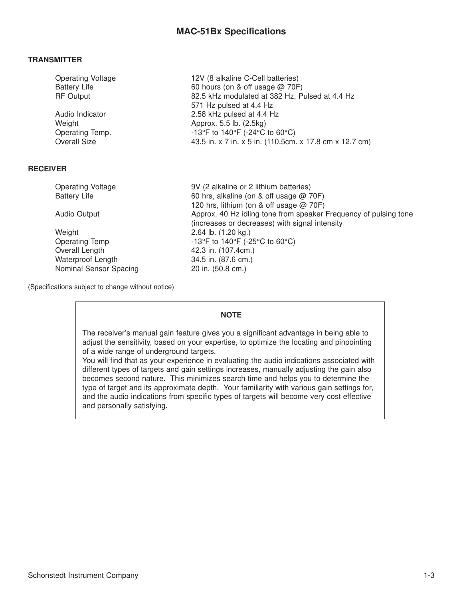#### **TRANSMITTER**

| <b>Operating Voltage</b> | 12V (8 alkaline C-Cell batteries)                       |
|--------------------------|---------------------------------------------------------|
| <b>Battery Life</b>      | 60 hours (on & off usage $@$ 70F)                       |
| <b>RF Output</b>         | 82.5 kHz modulated at 382 Hz, Pulsed at 4.4 Hz          |
|                          | 571 Hz pulsed at 4.4 Hz                                 |
| Audio Indicator          | 2.58 kHz pulsed at 4.4 Hz                               |
| Weight                   | Approx. 5.5 lb. (2.5kg)                                 |
| Operating Temp.          | -13°F to 140°F (-24°C to 60°C)                          |
| <b>Overall Size</b>      | 43.5 in. x 7 in. x 5 in. (110.5cm. x 17.8 cm x 12.7 cm) |

#### **RECEIVER**

| 9V (2 alkaline or 2 lithium batteries)                           |
|------------------------------------------------------------------|
| 60 hrs, alkaline (on & off usage $@$ 70F)                        |
| 120 hrs, lithium (on & off usage @ 70F)                          |
| Approx. 40 Hz idling tone from speaker Frequency of pulsing tone |
| (increases or decreases) with signal intensity                   |
| 2.64 lb. $(1.20 \text{ kg.})$                                    |
| -13°F to 140°F (-25°C to 60°C)                                   |
| 42.3 in. (107.4cm.)                                              |
| 34.5 in. (87.6 cm.)                                              |
| 20 in. (50.8 cm.)                                                |
|                                                                  |

(Specifications subject to change without notice)

#### **NOTE**

The receiver's manual gain feature gives you a significant advantage in being able to adjust the sensitivity, based on your expertise, to optimize the locating and pinpointing of a wide range of underground targets.

You will find that as your experience in evaluating the audio indications associated with different types of targets and gain settings increases, manually adjusting the gain also becomes second nature. This minimizes search time and helps you to determine the type of target and its approximate depth. Your familiarity with various gain settings for, and the audio indications from specific types of targets will become very cost effective and personally satisfying.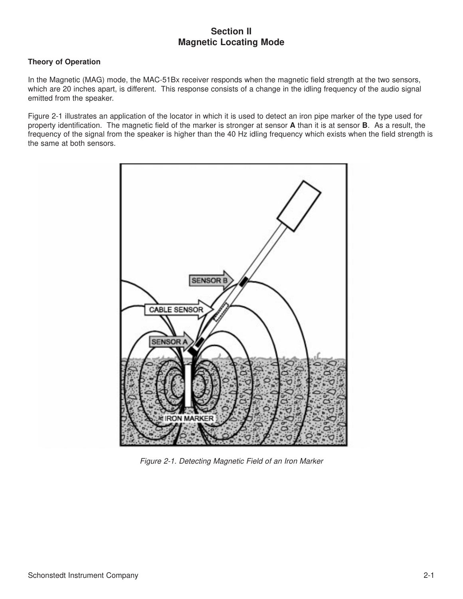### **Section II Magnetic Locating Mode**

#### **Theory of Operation**

In the Magnetic (MAG) mode, the MAC-51Bx receiver responds when the magnetic field strength at the two sensors, which are 20 inches apart, is different. This response consists of a change in the idling frequency of the audio signal emitted from the speaker.

Figure 2-1 illustrates an application of the locator in which it is used to detect an iron pipe marker of the type used for property identification. The magnetic field of the marker is stronger at sensor **A** than it is at sensor **B**. As a result, the frequency of the signal from the speaker is higher than the 40 Hz idling frequency which exists when the field strength is the same at both sensors.



Figure 2-1. Detecting Magnetic Field of an Iron Marker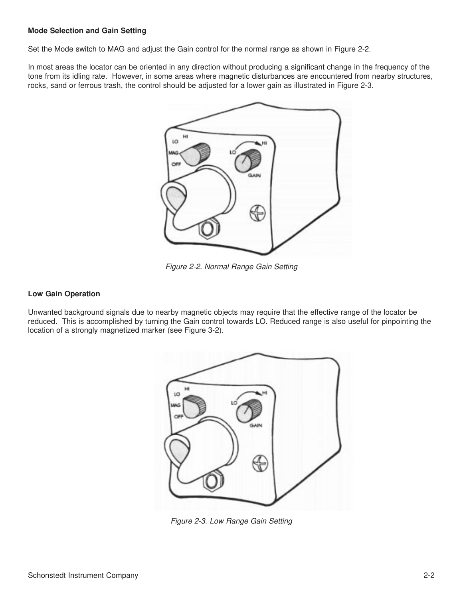#### **Mode Selection and Gain Setting**

Set the Mode switch to MAG and adjust the Gain control for the normal range as shown in Figure 2-2.

In most areas the locator can be oriented in any direction without producing a significant change in the frequency of the tone from its idling rate. However, in some areas where magnetic disturbances are encountered from nearby structures, rocks, sand or ferrous trash, the control should be adjusted for a lower gain as illustrated in Figure 2-3.



Figure 2-2. Normal Range Gain Setting

#### **Low Gain Operation**

Unwanted background signals due to nearby magnetic objects may require that the effective range of the locator be reduced. This is accomplished by turning the Gain control towards LO. Reduced range is also useful for pinpointing the location of a strongly magnetized marker (see Figure 3-2).



Figure 2-3. Low Range Gain Setting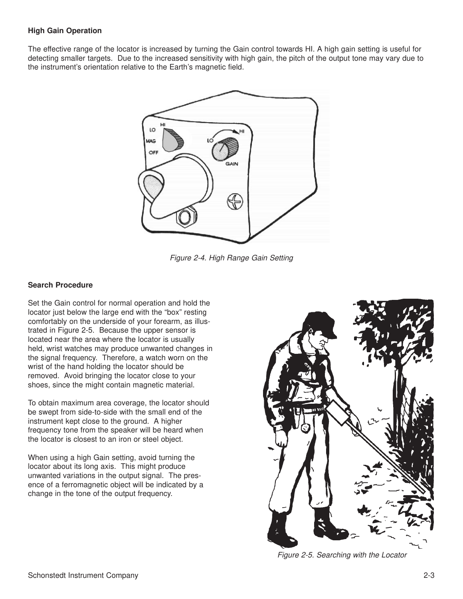#### **High Gain Operation**

The effective range of the locator is increased by turning the Gain control towards HI. A high gain setting is useful for detecting smaller targets. Due to the increased sensitivity with high gain, the pitch of the output tone may vary due to the instrument's orientation relative to the Earth's magnetic field.



Figure 2-4. High Range Gain Setting

#### **Search Procedure**

Set the Gain control for normal operation and hold the locator just below the large end with the "box" resting comfortably on the underside of your forearm, as illustrated in Figure 2-5. Because the upper sensor is located near the area where the locator is usually held, wrist watches may produce unwanted changes in the signal frequency. Therefore, a watch worn on the wrist of the hand holding the locator should be removed. Avoid bringing the locator close to your shoes, since the might contain magnetic material.

To obtain maximum area coverage, the locator should be swept from side-to-side with the small end of the instrument kept close to the ground. A higher frequency tone from the speaker will be heard when the locator is closest to an iron or steel object.

When using a high Gain setting, avoid turning the locator about its long axis. This might produce unwanted variations in the output signal. The presence of a ferromagnetic object will be indicated by a change in the tone of the output frequency.



Figure 2-5. Searching with the Locator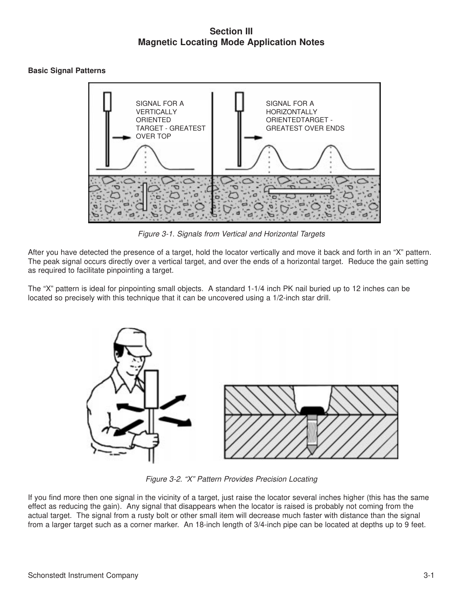## **Section III Magnetic Locating Mode Application Notes**

#### **Basic Signal Patterns**



Figure 3-1. Signals from Vertical and Horizontal Targets

After you have detected the presence of a target, hold the locator vertically and move it back and forth in an "X" pattern. The peak signal occurs directly over a vertical target, and over the ends of a horizontal target. Reduce the gain setting as required to facilitate pinpointing a target.

The "X" pattern is ideal for pinpointing small objects. A standard 1-1/4 inch PK nail buried up to 12 inches can be located so precisely with this technique that it can be uncovered using a 1/2-inch star drill.



Figure 3-2. "X" Pattern Provides Precision Locating

If you find more then one signal in the vicinity of a target, just raise the locator several inches higher (this has the same effect as reducing the gain). Any signal that disappears when the locator is raised is probably not coming from the actual target. The signal from a rusty bolt or other small item will decrease much faster with distance than the signal from a larger target such as a corner marker. An 18-inch length of 3/4-inch pipe can be located at depths up to 9 feet.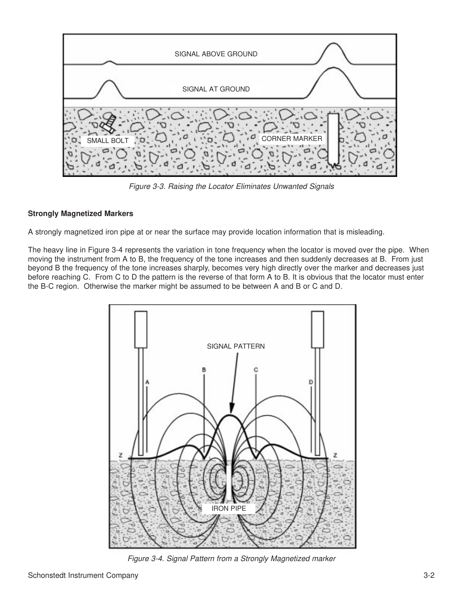

Figure 3-3. Raising the Locator Eliminates Unwanted Signals

#### **Strongly Magnetized Markers**

A strongly magnetized iron pipe at or near the surface may provide location information that is misleading.

The heavy line in Figure 3-4 represents the variation in tone frequency when the locator is moved over the pipe. When moving the instrument from A to B, the frequency of the tone increases and then suddenly decreases at B. From just beyond B the frequency of the tone increases sharply, becomes very high directly over the marker and decreases just before reaching C. From C to D the pattern is the reverse of that form A to B. It is obvious that the locator must enter the B-C region. Otherwise the marker might be assumed to be between A and B or C and D.



Figure 3-4. Signal Pattern from a Strongly Magnetized marker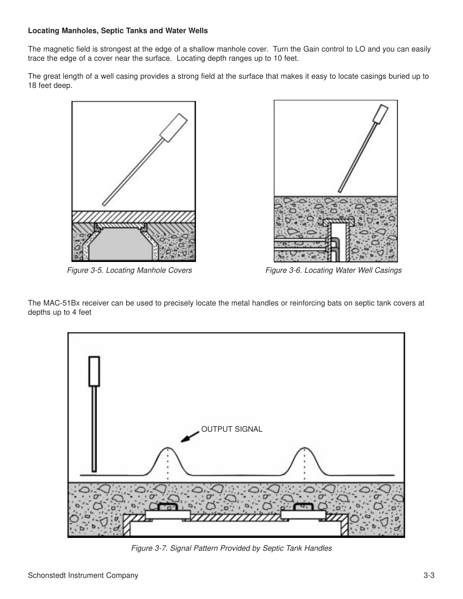#### **Locating Manholes, Septic Tanks and Water Wells**

The magnetic field is strongest at the edge of a shallow manhole cover. Turn the Gain control to LO and you can easily trace the edge of a cover near the surface. Locating depth ranges up to 10 feet.

The great length of a well casing provides a strong field at the surface that makes it easy to locate casings buried up to 18 feet deep.







Figure 3-5. Locating Manhole Covers Figure 3-6. Locating Water Well Casings

The MAC-51Bx receiver can be used to precisely locate the metal handles or reinforcing bats on septic tank covers at depths up to 4 feet



Figure 3-7. Signal Pattern Provided by Septic Tank Handles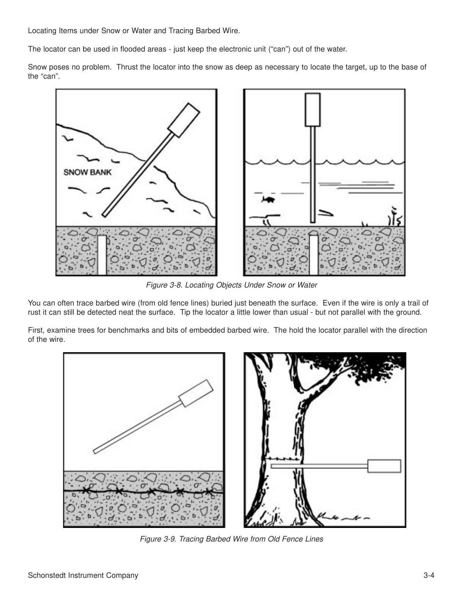Locating Items under Snow or Water and Tracing Barbed Wire.

The locator can be used in flooded areas - just keep the electronic unit ("can") out of the water.

Snow poses no problem. Thrust the locator into the snow as deep as necessary to locate the target, up to the base of the "can".



Figure 3-8. Locating Objects Under Snow or Water

You can often trace barbed wire (from old fence lines) buried just beneath the surface. Even if the wire is only a trail of rust it can still be detected neat the surface. Tip the locator a little lower than usual - but not parallel with the ground.

First, examine trees for benchmarks and bits of embedded barbed wire. The hold the locator parallel with the direction of the wire.



Figure 3-9. Tracing Barbed Wire from Old Fence Lines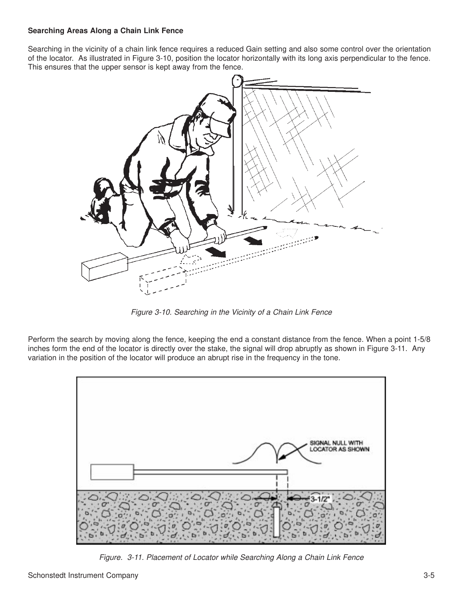#### **Searching Areas Along a Chain Link Fence**

Searching in the vicinity of a chain link fence requires a reduced Gain setting and also some control over the orientation of the locator. As illustrated in Figure 3-10, position the locator horizontally with its long axis perpendicular to the fence. This ensures that the upper sensor is kept away from the fence.



Figure 3-10. Searching in the Vicinity of a Chain Link Fence

Perform the search by moving along the fence, keeping the end a constant distance from the fence. When a point 1-5/8 inches form the end of the locator is directly over the stake, the signal will drop abruptly as shown in Figure 3-11. Any variation in the position of the locator will produce an abrupt rise in the frequency in the tone.



Figure. 3-11. Placement of Locator while Searching Along a Chain Link Fence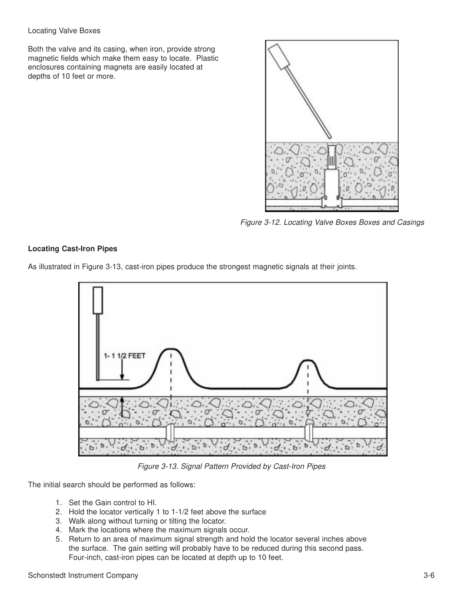#### Locating Valve Boxes

Both the valve and its casing, when iron, provide strong magnetic fields which make them easy to locate. Plastic enclosures containing magnets are easily located at depths of 10 feet or more.



Figure 3-12. Locating Valve Boxes Boxes and Casings

#### **Locating Cast-Iron Pipes**





Figure 3-13. Signal Pattern Provided by Cast-Iron Pipes

The initial search should be performed as follows:

- 1. Set the Gain control to HI.
- 2. Hold the locator vertically 1 to 1-1/2 feet above the surface
- 3. Walk along without turning or tilting the locator.
- 4. Mark the locations where the maximum signals occur.
- 5. Return to an area of maximum signal strength and hold the locator several inches above the surface. The gain setting will probably have to be reduced during this second pass. Four-inch, cast-iron pipes can be located at depth up to 10 feet.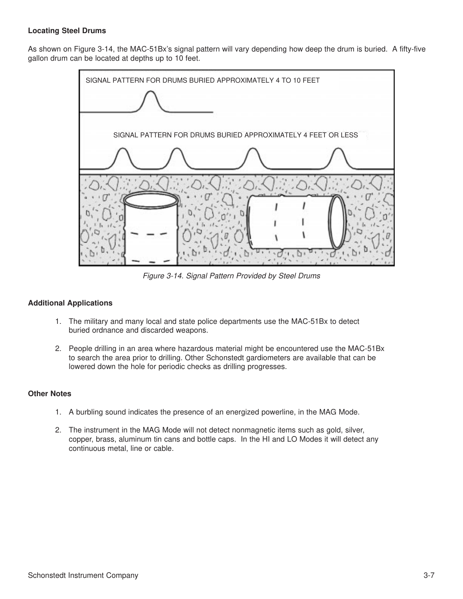#### **Locating Steel Drums**

As shown on Figure 3-14, the MAC-51Bx's signal pattern will vary depending how deep the drum is buried. A fifty-five gallon drum can be located at depths up to 10 feet.



Figure 3-14. Signal Pattern Provided by Steel Drums

#### **Additional Applications**

- 1. The military and many local and state police departments use the MAC-51Bx to detect buried ordnance and discarded weapons.
- 2. People drilling in an area where hazardous material might be encountered use the MAC-51Bx to search the area prior to drilling. Other Schonstedt gardiometers are available that can be lowered down the hole for periodic checks as drilling progresses.

#### **Other Notes**

- 1. A burbling sound indicates the presence of an energized powerline, in the MAG Mode.
- 2. The instrument in the MAG Mode will not detect nonmagnetic items such as gold, silver, copper, brass, aluminum tin cans and bottle caps. In the HI and LO Modes it will detect any continuous metal, line or cable.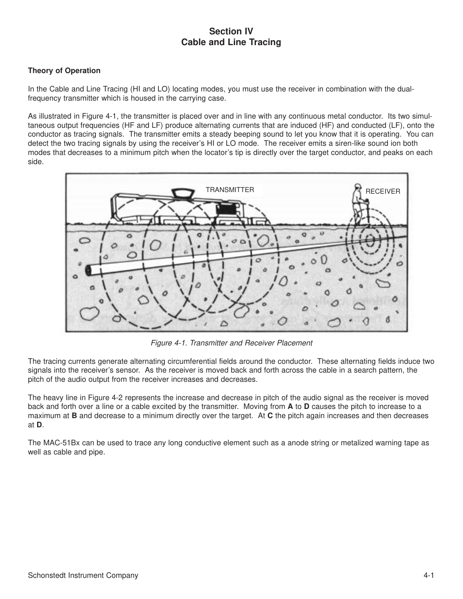## **Section IV Cable and Line Tracing**

#### **Theory of Operation**

In the Cable and Line Tracing (HI and LO) locating modes, you must use the receiver in combination with the dualfrequency transmitter which is housed in the carrying case.

As illustrated in Figure 4-1, the transmitter is placed over and in line with any continuous metal conductor. Its two simultaneous output frequencies (HF and LF) produce alternating currents that are induced (HF) and conducted (LF), onto the conductor as tracing signals. The transmitter emits a steady beeping sound to let you know that it is operating. You can detect the two tracing signals by using the receiver's HI or LO mode. The receiver emits a siren-like sound ion both modes that decreases to a minimum pitch when the locator's tip is directly over the target conductor, and peaks on each side.



Figure 4-1. Transmitter and Receiver Placement

The tracing currents generate alternating circumferential fields around the conductor. These alternating fields induce two signals into the receiver's sensor. As the receiver is moved back and forth across the cable in a search pattern, the pitch of the audio output from the receiver increases and decreases.

The heavy line in Figure 4-2 represents the increase and decrease in pitch of the audio signal as the receiver is moved back and forth over a line or a cable excited by the transmitter. Moving from **A** to **D** causes the pitch to increase to a maximum at **B** and decrease to a minimum directly over the target. At **C** the pitch again increases and then decreases at **D**.

The MAC-51Bx can be used to trace any long conductive element such as a anode string or metalized warning tape as well as cable and pipe.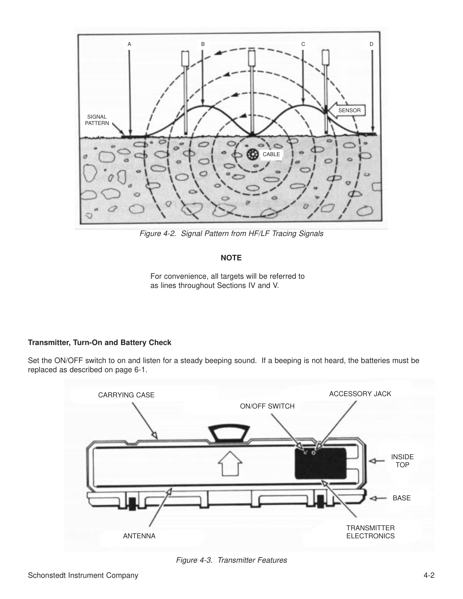

Figure 4-2. Signal Pattern from HF/LF Tracing Signals

#### **NOTE**

For convenience, all targets will be referred to as lines throughout Sections IV and V.

#### **Transmitter, Turn-On and Battery Check**

Set the ON/OFF switch to on and listen for a steady beeping sound. If a beeping is not heard, the batteries must be replaced as described on page 6-1.



Figure 4-3. Transmitter Features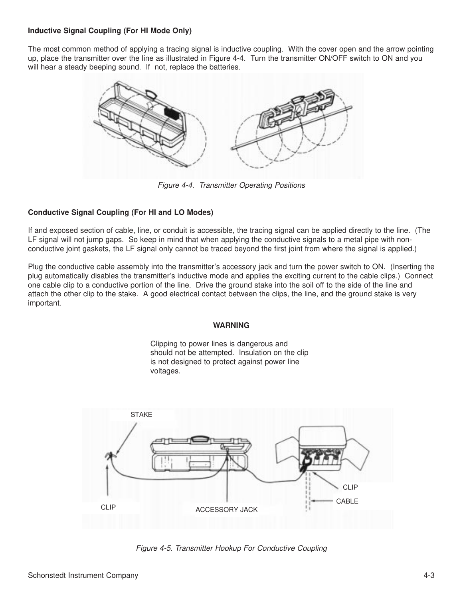#### **Inductive Signal Coupling (For HI Mode Only)**

The most common method of applying a tracing signal is inductive coupling. With the cover open and the arrow pointing up, place the transmitter over the line as illustrated in Figure 4-4. Turn the transmitter ON/OFF switch to ON and you will hear a steady beeping sound. If not, replace the batteries.



Figure 4-4. Transmitter Operating Positions

#### **Conductive Signal Coupling (For HI and LO Modes)**

If and exposed section of cable, line, or conduit is accessible, the tracing signal can be applied directly to the line. (The LF signal will not jump gaps. So keep in mind that when applying the conductive signals to a metal pipe with nonconductive joint gaskets, the LF signal only cannot be traced beyond the first joint from where the signal is applied.)

Plug the conductive cable assembly into the transmitter's accessory jack and turn the power switch to ON. (Inserting the plug automatically disables the transmitter's inductive mode and applies the exciting current to the cable clips.) Connect one cable clip to a conductive portion of the line. Drive the ground stake into the soil off to the side of the line and attach the other clip to the stake. A good electrical contact between the clips, the line, and the ground stake is very important.

#### **WARNING**

Clipping to power lines is dangerous and should not be attempted. Insulation on the clip is not designed to protect against power line voltages.



Figure 4-5. Transmitter Hookup For Conductive Coupling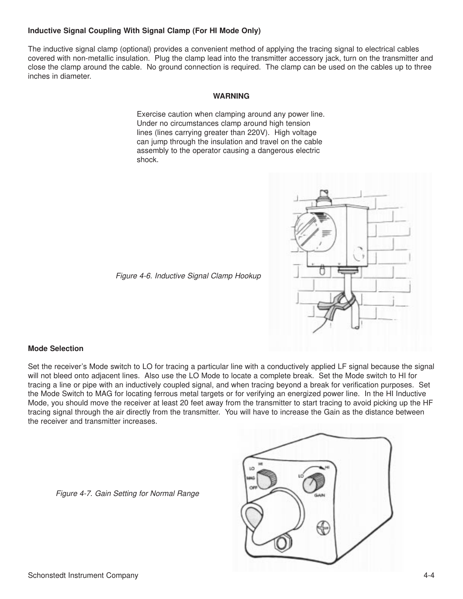#### **Inductive Signal Coupling With Signal Clamp (For HI Mode Only)**

The inductive signal clamp (optional) provides a convenient method of applying the tracing signal to electrical cables covered with non-metallic insulation. Plug the clamp lead into the transmitter accessory jack, turn on the transmitter and close the clamp around the cable. No ground connection is required. The clamp can be used on the cables up to three inches in diameter.

#### **WARNING**

Exercise caution when clamping around any power line. Under no circumstances clamp around high tension lines (lines carrying greater than 220V). High voltage can jump through the insulation and travel on the cable assembly to the operator causing a dangerous electric shock.



Figure 4-6. Inductive Signal Clamp Hookup

#### **Mode Selection**

Set the receiver's Mode switch to LO for tracing a particular line with a conductively applied LF signal because the signal will not bleed onto adjacent lines. Also use the LO Mode to locate a complete break. Set the Mode switch to HI for tracing a line or pipe with an inductively coupled signal, and when tracing beyond a break for verification purposes. Set the Mode Switch to MAG for locating ferrous metal targets or for verifying an energized power line. In the HI Inductive Mode, you should move the receiver at least 20 feet away from the transmitter to start tracing to avoid picking up the HF tracing signal through the air directly from the transmitter. You will have to increase the Gain as the distance between the receiver and transmitter increases.

Figure 4-7. Gain Setting for Normal Range

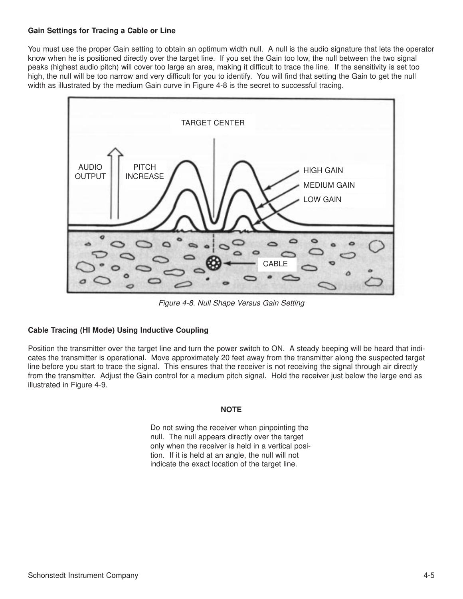#### **Gain Settings for Tracing a Cable or Line**

You must use the proper Gain setting to obtain an optimum width null. A null is the audio signature that lets the operator know when he is positioned directly over the target line. If you set the Gain too low, the null between the two signal peaks (highest audio pitch) will cover too large an area, making it difficult to trace the line. If the sensitivity is set too high, the null will be too narrow and very difficult for you to identify. You will find that setting the Gain to get the null width as illustrated by the medium Gain curve in Figure 4-8 is the secret to successful tracing.



Figure 4-8. Null Shape Versus Gain Setting

#### **Cable Tracing (HI Mode) Using Inductive Coupling**

Position the transmitter over the target line and turn the power switch to ON. A steady beeping will be heard that indicates the transmitter is operational. Move approximately 20 feet away from the transmitter along the suspected target line before you start to trace the signal. This ensures that the receiver is not receiving the signal through air directly from the transmitter. Adjust the Gain control for a medium pitch signal. Hold the receiver just below the large end as illustrated in Figure 4-9.

#### **NOTE**

Do not swing the receiver when pinpointing the null. The null appears directly over the target only when the receiver is held in a vertical position. If it is held at an angle, the null will not indicate the exact location of the target line.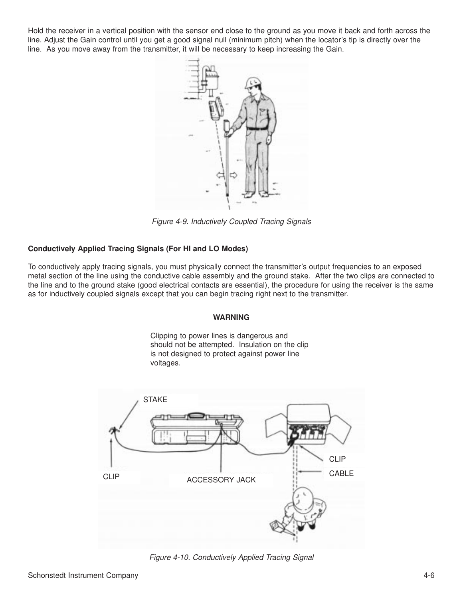Hold the receiver in a vertical position with the sensor end close to the ground as you move it back and forth across the line. Adjust the Gain control until you get a good signal null (minimum pitch) when the locator's tip is directly over the line. As you move away from the transmitter, it will be necessary to keep increasing the Gain.



Figure 4-9. Inductively Coupled Tracing Signals

#### **Conductively Applied Tracing Signals (For HI and LO Modes)**

To conductively apply tracing signals, you must physically connect the transmitter's output frequencies to an exposed metal section of the line using the conductive cable assembly and the ground stake. After the two clips are connected to the line and to the ground stake (good electrical contacts are essential), the procedure for using the receiver is the same as for inductively coupled signals except that you can begin tracing right next to the transmitter.

#### **WARNING**

Clipping to power lines is dangerous and should not be attempted. Insulation on the clip is not designed to protect against power line voltages.



Figure 4-10. Conductively Applied Tracing Signal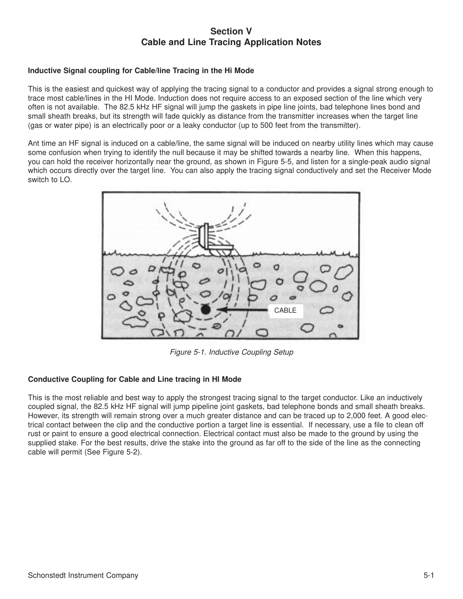### **Section V Cable and Line Tracing Application Notes**

#### **Inductive Signal coupling for Cable/line Tracing in the Hi Mode**

This is the easiest and quickest way of applying the tracing signal to a conductor and provides a signal strong enough to trace most cable/lines in the HI Mode. Induction does not require access to an exposed section of the line which very often is not available. The 82.5 kHz HF signal will jump the gaskets in pipe line joints, bad telephone lines bond and small sheath breaks, but its strength will fade quickly as distance from the transmitter increases when the target line (gas or water pipe) is an electrically poor or a leaky conductor (up to 500 feet from the transmitter).

Ant time an HF signal is induced on a cable/line, the same signal will be induced on nearby utility lines which may cause some confusion when trying to identify the null because it may be shifted towards a nearby line. When this happens, you can hold the receiver horizontally near the ground, as shown in Figure 5-5, and listen for a single-peak audio signal which occurs directly over the target line. You can also apply the tracing signal conductively and set the Receiver Mode switch to LO.



Figure 5-1. Inductive Coupling Setup

#### **Conductive Coupling for Cable and Line tracing in HI Mode**

This is the most reliable and best way to apply the strongest tracing signal to the target conductor. Like an inductively coupled signal, the 82.5 kHz HF signal will jump pipeline joint gaskets, bad telephone bonds and small sheath breaks. However, its strength will remain strong over a much greater distance and can be traced up to 2,000 feet. A good electrical contact between the clip and the conductive portion a target line is essential. If necessary, use a file to clean off rust or paint to ensure a good electrical connection. Electrical contact must also be made to the ground by using the supplied stake. For the best results, drive the stake into the ground as far off to the side of the line as the connecting cable will permit (See Figure 5-2).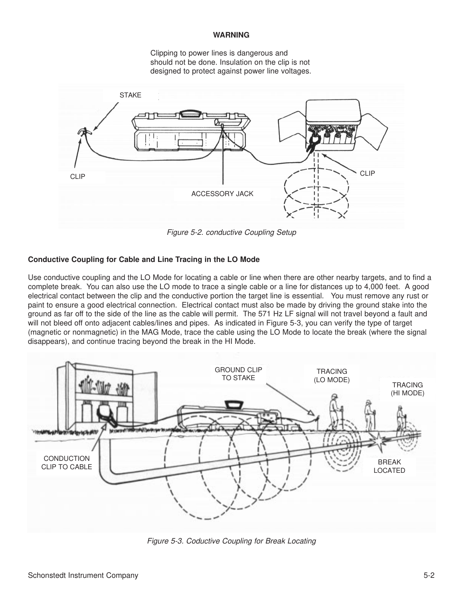#### **WARNING**

Clipping to power lines is dangerous and should not be done. Insulation on the clip is not designed to protect against power line voltages.



Figure 5-2. conductive Coupling Setup

#### **Conductive Coupling for Cable and Line Tracing in the LO Mode**

Use conductive coupling and the LO Mode for locating a cable or line when there are other nearby targets, and to find a complete break. You can also use the LO mode to trace a single cable or a line for distances up to 4,000 feet. A good electrical contact between the clip and the conductive portion the target line is essential. You must remove any rust or paint to ensure a good electrical connection. Electrical contact must also be made by driving the ground stake into the ground as far off to the side of the line as the cable will permit. The 571 Hz LF signal will not travel beyond a fault and will not bleed off onto adjacent cables/lines and pipes. As indicated in Figure 5-3, you can verify the type of target (magnetic or nonmagnetic) in the MAG Mode, trace the cable using the LO Mode to locate the break (where the signal disappears), and continue tracing beyond the break in the HI Mode.



Figure 5-3. Coductive Coupling for Break Locating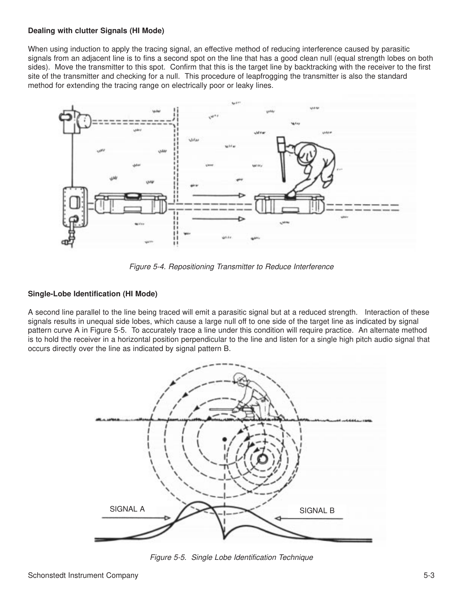#### **Dealing with clutter Signals (HI Mode)**

When using induction to apply the tracing signal, an effective method of reducing interference caused by parasitic signals from an adjacent line is to fins a second spot on the line that has a good clean null (equal strength lobes on both sides). Move the transmitter to this spot. Confirm that this is the target line by backtracking with the receiver to the first site of the transmitter and checking for a null. This procedure of leapfrogging the transmitter is also the standard method for extending the tracing range on electrically poor or leaky lines.



Figure 5-4. Repositioning Transmitter to Reduce Interference

#### **Single-Lobe Identification (HI Mode)**

A second line parallel to the line being traced will emit a parasitic signal but at a reduced strength. Interaction of these signals results in unequal side lobes, which cause a large null off to one side of the target line as indicated by signal pattern curve A in Figure 5-5. To accurately trace a line under this condition will require practice. An alternate method is to hold the receiver in a horizontal position perpendicular to the line and listen for a single high pitch audio signal that occurs directly over the line as indicated by signal pattern B.



Figure 5-5. Single Lobe Identification Technique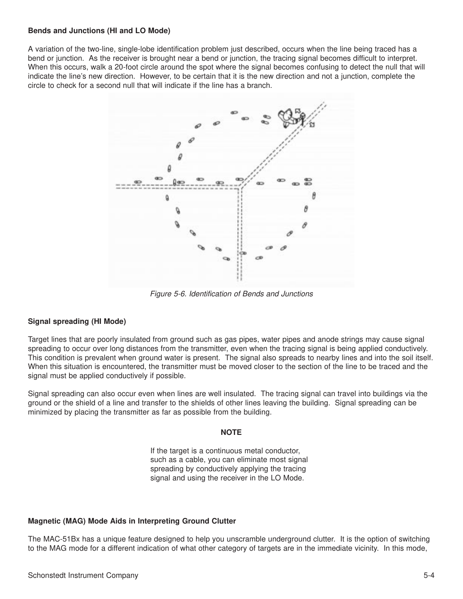#### **Bends and Junctions (HI and LO Mode)**

A variation of the two-line, single-lobe identification problem just described, occurs when the line being traced has a bend or junction. As the receiver is brought near a bend or junction, the tracing signal becomes difficult to interpret. When this occurs, walk a 20-foot circle around the spot where the signal becomes confusing to detect the null that will indicate the line's new direction. However, to be certain that it is the new direction and not a junction, complete the circle to check for a second null that will indicate if the line has a branch.



Figure 5-6. Identification of Bends and Junctions

#### **Signal spreading (HI Mode)**

Target lines that are poorly insulated from ground such as gas pipes, water pipes and anode strings may cause signal spreading to occur over long distances from the transmitter, even when the tracing signal is being applied conductively. This condition is prevalent when ground water is present. The signal also spreads to nearby lines and into the soil itself. When this situation is encountered, the transmitter must be moved closer to the section of the line to be traced and the signal must be applied conductively if possible.

Signal spreading can also occur even when lines are well insulated. The tracing signal can travel into buildings via the ground or the shield of a line and transfer to the shields of other lines leaving the building. Signal spreading can be minimized by placing the transmitter as far as possible from the building.

#### **NOTE**

If the target is a continuous metal conductor, such as a cable, you can eliminate most signal spreading by conductively applying the tracing signal and using the receiver in the LO Mode.

#### **Magnetic (MAG) Mode Aids in Interpreting Ground Clutter**

The MAC-51Bx has a unique feature designed to help you unscramble underground clutter. It is the option of switching to the MAG mode for a different indication of what other category of targets are in the immediate vicinity. In this mode,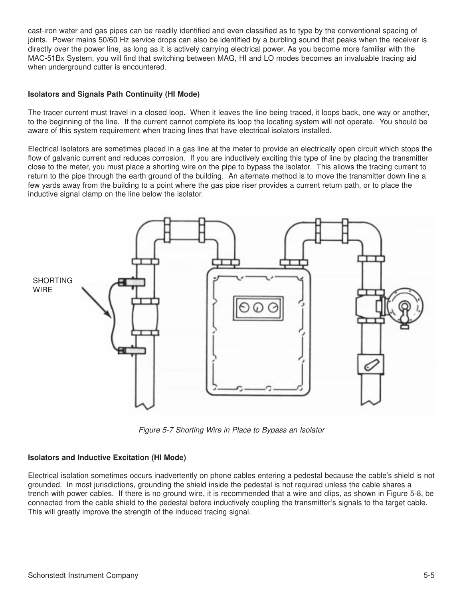cast-iron water and gas pipes can be readily identified and even classified as to type by the conventional spacing of joints. Power mains 50/60 Hz service drops can also be identified by a burbling sound that peaks when the receiver is directly over the power line, as long as it is actively carrying electrical power. As you become more familiar with the MAC-51Bx System, you will find that switching between MAG, HI and LO modes becomes an invaluable tracing aid when underground cutter is encountered.

#### **Isolators and Signals Path Continuity (HI Mode)**

The tracer current must travel in a closed loop. When it leaves the line being traced, it loops back, one way or another, to the beginning of the line. If the current cannot complete its loop the locating system will not operate. You should be aware of this system requirement when tracing lines that have electrical isolators installed.

Electrical isolators are sometimes placed in a gas line at the meter to provide an electrically open circuit which stops the flow of galvanic current and reduces corrosion. If you are inductively exciting this type of line by placing the transmitter close to the meter, you must place a shorting wire on the pipe to bypass the isolator. This allows the tracing current to return to the pipe through the earth ground of the building. An alternate method is to move the transmitter down line a few yards away from the building to a point where the gas pipe riser provides a current return path, or to place the inductive signal clamp on the line below the isolator.



Figure 5-7 Shorting Wire in Place to Bypass an Isolator

#### **Isolators and Inductive Excitation (HI Mode)**

Electrical isolation sometimes occurs inadvertently on phone cables entering a pedestal because the cable's shield is not grounded. In most jurisdictions, grounding the shield inside the pedestal is not required unless the cable shares a trench with power cables. If there is no ground wire, it is recommended that a wire and clips, as shown in Figure 5-8, be connected from the cable shield to the pedestal before inductively coupling the transmitter's signals to the target cable. This will greatly improve the strength of the induced tracing signal.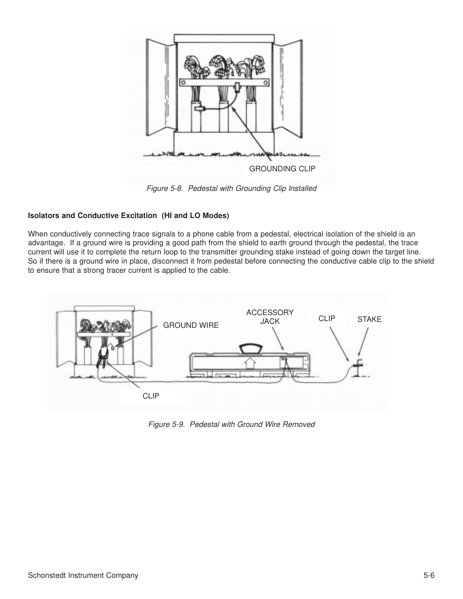

Figure 5-8. Pedestal with Grounding Clip Installed

#### **Isolators and Conductive Excitation (HI and LO Modes)**

When conductively connecting trace signals to a phone cable from a pedestal, electrical isolation of the shield is an advantage. If a ground wire is providing a good path from the shield to earth ground through the pedestal, the trace current will use it to complete the return loop to the transmitter grounding stake instead of going down the target line. So if there is a ground wire in place, disconnect it from pedestal before connecting the conductive cable clip to the shield to ensure that a strong tracer current is applied to the cable.



Figure 5-9. Pedestal with Ground Wire Removed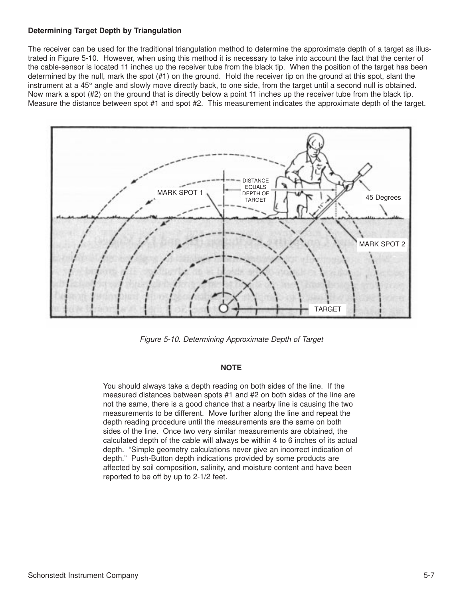#### **Determining Target Depth by Triangulation**

The receiver can be used for the traditional triangulation method to determine the approximate depth of a target as illustrated in Figure 5-10. However, when using this method it is necessary to take into account the fact that the center of the cable-sensor is located 11 inches up the receiver tube from the black tip. When the position of the target has been determined by the null, mark the spot (#1) on the ground. Hold the receiver tip on the ground at this spot, slant the instrument at a 45° angle and slowly move directly back, to one side, from the target until a second null is obtained. Now mark a spot (#2) on the ground that is directly below a point 11 inches up the receiver tube from the black tip. Measure the distance between spot #1 and spot #2. This measurement indicates the approximate depth of the target.



Figure 5-10. Determining Approximate Depth of Target

#### **NOTE**

You should always take a depth reading on both sides of the line. If the measured distances between spots #1 and #2 on both sides of the line are not the same, there is a good chance that a nearby line is causing the two measurements to be different. Move further along the line and repeat the depth reading procedure until the measurements are the same on both sides of the line. Once two very similar measurements are obtained, the calculated depth of the cable will always be within 4 to 6 inches of its actual depth. "Simple geometry calculations never give an incorrect indication of depth." Push-Button depth indications provided by some products are affected by soil composition, salinity, and moisture content and have been reported to be off by up to 2-1/2 feet.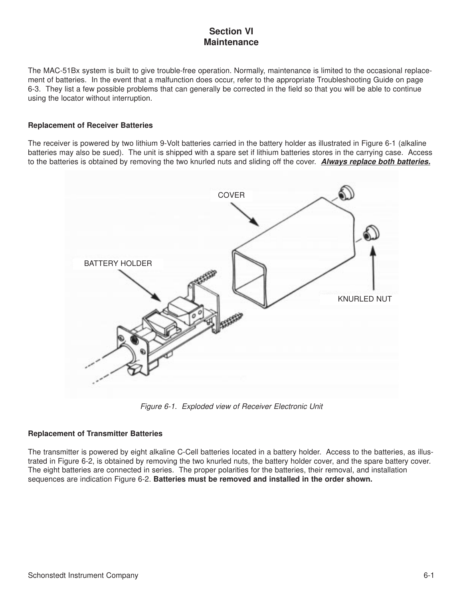## **Section VI Maintenance**

The MAC-51Bx system is built to give trouble-free operation. Normally, maintenance is limited to the occasional replacement of batteries. In the event that a malfunction does occur, refer to the appropriate Troubleshooting Guide on page 6-3. They list a few possible problems that can generally be corrected in the field so that you will be able to continue using the locator without interruption.

#### **Replacement of Receiver Batteries**

The receiver is powered by two lithium 9-Volt batteries carried in the battery holder as illustrated in Figure 6-1 (alkaline batteries may also be sued). The unit is shipped with a spare set if lithium batteries stores in the carrying case. Access to the batteries is obtained by removing the two knurled nuts and sliding off the cover. **Always replace both batteries.**



Figure 6-1. Exploded view of Receiver Electronic Unit

#### **Replacement of Transmitter Batteries**

The transmitter is powered by eight alkaline C-Cell batteries located in a battery holder. Access to the batteries, as illustrated in Figure 6-2, is obtained by removing the two knurled nuts, the battery holder cover, and the spare battery cover. The eight batteries are connected in series. The proper polarities for the batteries, their removal, and installation sequences are indication Figure 6-2. **Batteries must be removed and installed in the order shown.**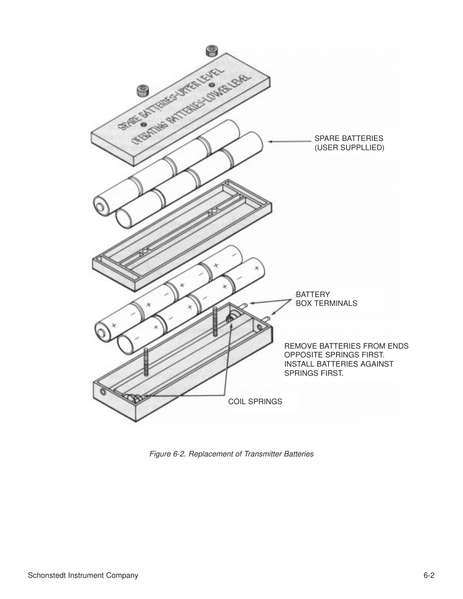

Figure 6-2. Replacement of Transmitter Batteries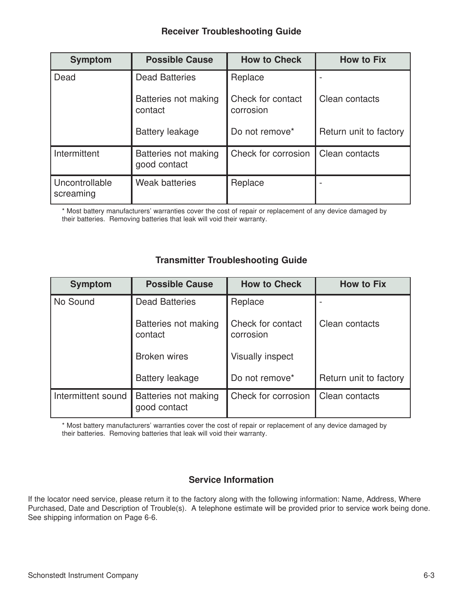## **Receiver Troubleshooting Guide**

| <b>Symptom</b>              | <b>Possible Cause</b>                | <b>How to Check</b>            | <b>How to Fix</b>      |
|-----------------------------|--------------------------------------|--------------------------------|------------------------|
| Dead                        | <b>Dead Batteries</b><br>Replace     |                                |                        |
|                             | Batteries not making<br>contact      | Check for contact<br>corrosion | Clean contacts         |
|                             | <b>Battery leakage</b>               | Do not remove*                 | Return unit to factory |
| Intermittent                | Batteries not making<br>good contact | Check for corrosion            | Clean contacts         |
| Uncontrollable<br>screaming | <b>Weak batteries</b>                | Replace                        |                        |

\* Most battery manufacturers' warranties cover the cost of repair or replacement of any device damaged by their batteries. Removing batteries that leak will void their warranty.

## **Transmitter Troubleshooting Guide**

| <b>Symptom</b>     | <b>Possible Cause</b>                | <b>How to Check</b>            | <b>How to Fix</b>      |
|--------------------|--------------------------------------|--------------------------------|------------------------|
| No Sound           | <b>Dead Batteries</b>                | Replace                        |                        |
|                    | Batteries not making<br>contact      | Check for contact<br>corrosion | Clean contacts         |
|                    | <b>Broken wires</b>                  | <b>Visually inspect</b>        |                        |
|                    | <b>Battery leakage</b>               | Do not remove*                 | Return unit to factory |
| Intermittent sound | Batteries not making<br>good contact | Check for corrosion            | Clean contacts         |

\* Most battery manufacturers' warranties cover the cost of repair or replacement of any device damaged by their batteries. Removing batteries that leak will void their warranty.

### **Service Information**

If the locator need service, please return it to the factory along with the following information: Name, Address, Where Purchased, Date and Description of Trouble(s). A telephone estimate will be provided prior to service work being done. See shipping information on Page 6-6.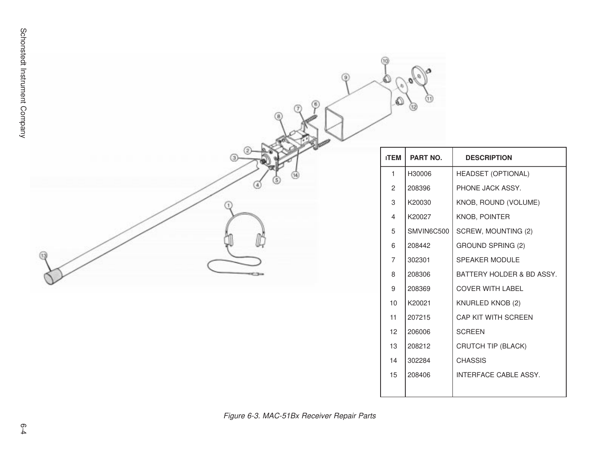|    | 10<br>Q        | ශ          |                           |
|----|----------------|------------|---------------------------|
| 3) | <b>ITEM</b>    | PART NO.   | <b>DESCRIPTION</b>        |
|    | $\mathbf{1}$   | H30006     | <b>HEADSET (OPTIONAL)</b> |
|    | $\overline{c}$ | 208396     | PHONE JACK ASSY.          |
|    | 3              | K20030     | KNOB, ROUND (VOLUME)      |
|    | $\overline{4}$ | K20027     | KNOB, POINTER             |
|    | 5              | SMVIN6C500 | SCREW, MOUNTING (2)       |
|    | 6              | 208442     | <b>GROUND SPRING (2)</b>  |
| ⊕  | $\overline{7}$ | 302301     | SPEAKER MODULE            |
|    | 8              | 208306     | BATTERY HOLDER & BD ASSY. |
|    | 9              | 208369     | <b>COVER WITH LABEL</b>   |
|    | 10             | K20021     | KNURLED KNOB (2)          |
|    | 11             | 207215     | CAP KIT WITH SCREEN       |
|    | 12             | 206006     | <b>SCREEN</b>             |
|    | 13             | 208212     | CRUTCH TIP (BLACK)        |
|    | 14             | 302284     | <b>CHASSIS</b>            |
|    | 15             | 208406     | INTERFACE CABLE ASSY.     |
|    |                |            |                           |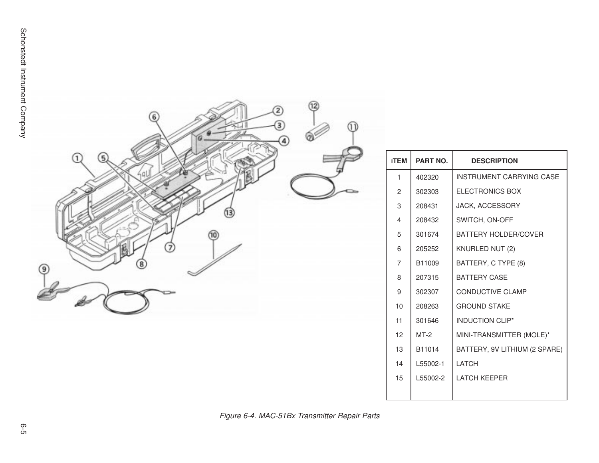

| <b>ITEM</b>    | PART NO. | <b>DESCRIPTION</b>              |
|----------------|----------|---------------------------------|
| 1              | 402320   | <b>INSTRUMENT CARRYING CASE</b> |
| $\overline{2}$ | 302303   | <b>ELECTRONICS BOX</b>          |
| 3              | 208431   | JACK, ACCESSORY                 |
| 4              | 208432   | SWITCH, ON-OFF                  |
| 5              | 301674   | <b>BATTERY HOLDER/COVER</b>     |
| 6              | 205252   | KNURLED NUT (2)                 |
| 7              | B11009   | BATTERY, C TYPE (8)             |
| 8              | 207315   | <b>BATTERY CASE</b>             |
| 9              | 302307   | <b>CONDUCTIVE CLAMP</b>         |
| 10             | 208263   | <b>GROUND STAKE</b>             |
| 11             | 301646   | <b>INDUCTION CLIP*</b>          |
| 12             | $MT-2$   | MINI-TRANSMITTER (MOLE)*        |
| 13             | B11014   | BATTERY, 9V LITHIUM (2 SPARE)   |
| 14             | L55002-1 | LATCH                           |
| 15             | L55002-2 | <b>LATCH KFFPFR</b>             |
|                |          |                                 |